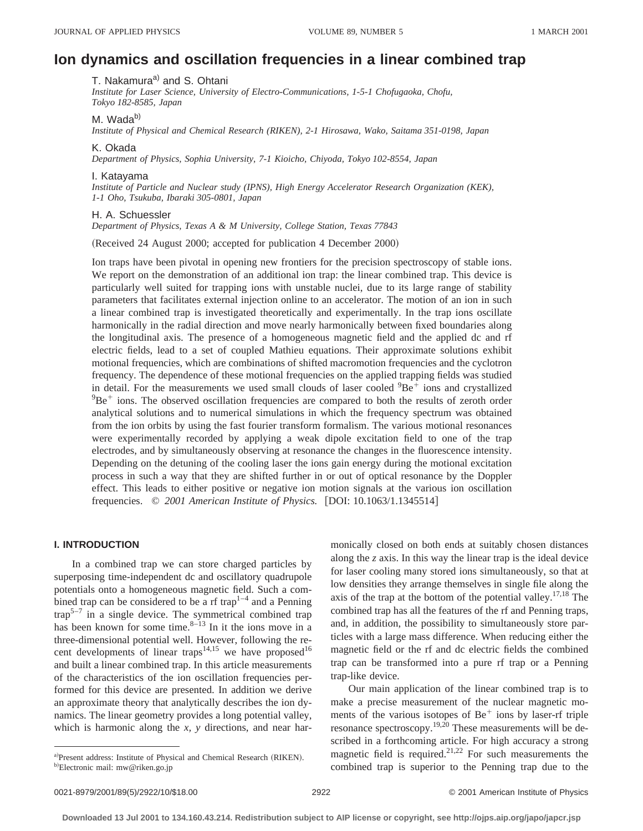# **Ion dynamics and oscillation frequencies in a linear combined trap**

# T. Nakamura<sup>a)</sup> and S. Ohtani

*Institute for Laser Science, University of Electro-Communications, 1-5-1 Chofugaoka, Chofu, Tokyo 182-8585, Japan*

# M. Wada<sup>b)</sup>

*Institute of Physical and Chemical Research (RIKEN), 2-1 Hirosawa, Wako, Saitama 351-0198, Japan*

#### K. Okada

*Department of Physics, Sophia University, 7-1 Kioicho, Chiyoda, Tokyo 102-8554, Japan*

#### I. Katayama

*Institute of Particle and Nuclear study (IPNS), High Energy Accelerator Research Organization (KEK), 1-1 Oho, Tsukuba, Ibaraki 305-0801, Japan*

#### H. A. Schuessler

*Department of Physics, Texas A & M University, College Station, Texas 77843*

(Received 24 August 2000; accepted for publication 4 December 2000)

Ion traps have been pivotal in opening new frontiers for the precision spectroscopy of stable ions. We report on the demonstration of an additional ion trap: the linear combined trap. This device is particularly well suited for trapping ions with unstable nuclei, due to its large range of stability parameters that facilitates external injection online to an accelerator. The motion of an ion in such a linear combined trap is investigated theoretically and experimentally. In the trap ions oscillate harmonically in the radial direction and move nearly harmonically between fixed boundaries along the longitudinal axis. The presence of a homogeneous magnetic field and the applied dc and rf electric fields, lead to a set of coupled Mathieu equations. Their approximate solutions exhibit motional frequencies, which are combinations of shifted macromotion frequencies and the cyclotron frequency. The dependence of these motional frequencies on the applied trapping fields was studied in detail. For the measurements we used small clouds of laser cooled  ${}^{9}Be^+$  ions and crystallized  $9Be<sup>+</sup>$  ions. The observed oscillation frequencies are compared to both the results of zeroth order analytical solutions and to numerical simulations in which the frequency spectrum was obtained from the ion orbits by using the fast fourier transform formalism. The various motional resonances were experimentally recorded by applying a weak dipole excitation field to one of the trap electrodes, and by simultaneously observing at resonance the changes in the fluorescence intensity. Depending on the detuning of the cooling laser the ions gain energy during the motional excitation process in such a way that they are shifted further in or out of optical resonance by the Doppler effect. This leads to either positive or negative ion motion signals at the various ion oscillation frequencies. © 2001 American Institute of Physics. [DOI: 10.1063/1.1345514]

# **I. INTRODUCTION**

In a combined trap we can store charged particles by superposing time-independent dc and oscillatory quadrupole potentials onto a homogeneous magnetic field. Such a combined trap can be considered to be a rf trap $1-4$  and a Penning  $trap^{5-7}$  in a single device. The symmetrical combined trap has been known for some time. $8-13$  In it the ions move in a three-dimensional potential well. However, following the recent developments of linear traps<sup>14,15</sup> we have proposed<sup>16</sup> and built a linear combined trap. In this article measurements of the characteristics of the ion oscillation frequencies performed for this device are presented. In addition we derive an approximate theory that analytically describes the ion dynamics. The linear geometry provides a long potential valley, which is harmonic along the *x, y* directions, and near harmonically closed on both ends at suitably chosen distances along the *z* axis. In this way the linear trap is the ideal device for laser cooling many stored ions simultaneously, so that at low densities they arrange themselves in single file along the axis of the trap at the bottom of the potential valley.<sup>17,18</sup> The combined trap has all the features of the rf and Penning traps, and, in addition, the possibility to simultaneously store particles with a large mass difference. When reducing either the magnetic field or the rf and dc electric fields the combined trap can be transformed into a pure rf trap or a Penning trap-like device.

Our main application of the linear combined trap is to make a precise measurement of the nuclear magnetic moments of the various isotopes of  $Be<sup>+</sup>$  ions by laser-rf triple resonance spectroscopy.19,20 These measurements will be described in a forthcoming article. For high accuracy a strong magnetic field is required.<sup>21,22</sup> For such measurements the combined trap is superior to the Penning trap due to the

a)Present address: Institute of Physical and Chemical Research (RIKEN). <sup>b)</sup>Electronic mail: mw@riken.go.jp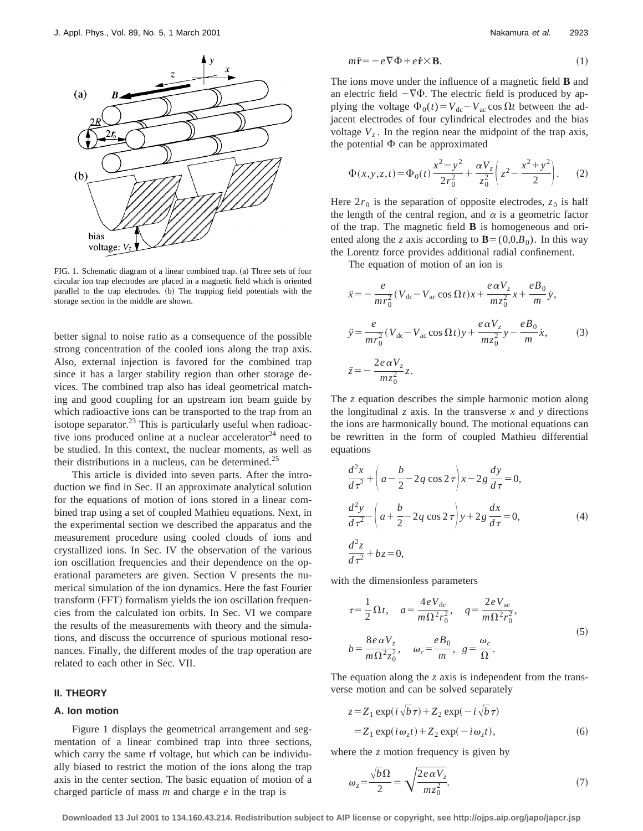

FIG. 1. Schematic diagram of a linear combined trap. (a) Three sets of four circular ion trap electrodes are placed in a magnetic field which is oriented parallel to the trap electrodes. (b) The trapping field potentials with the storage section in the middle are shown.

better signal to noise ratio as a consequence of the possible strong concentration of the cooled ions along the trap axis. Also, external injection is favored for the combined trap since it has a larger stability region than other storage devices. The combined trap also has ideal geometrical matching and good coupling for an upstream ion beam guide by which radioactive ions can be transported to the trap from an isotope separator. $^{23}$  This is particularly useful when radioactive ions produced online at a nuclear accelerator $24$  need to be studied. In this context, the nuclear moments, as well as their distributions in a nucleus, can be determined.<sup>25</sup>

This article is divided into seven parts. After the introduction we find in Sec. II an approximate analytical solution for the equations of motion of ions stored in a linear combined trap using a set of coupled Mathieu equations. Next, in the experimental section we described the apparatus and the measurement procedure using cooled clouds of ions and crystallized ions. In Sec. IV the observation of the various ion oscillation frequencies and their dependence on the operational parameters are given. Section V presents the numerical simulation of the ion dynamics. Here the fast Fourier transform (FFT) formalism yields the ion oscillation frequencies from the calculated ion orbits. In Sec. VI we compare the results of the measurements with theory and the simulations, and discuss the occurrence of spurious motional resonances. Finally, the different modes of the trap operation are related to each other in Sec. VII.

# **II. THEORY**

#### **A. Ion motion**

Figure 1 displays the geometrical arrangement and segmentation of a linear combined trap into three sections, which carry the same rf voltage, but which can be individually biased to restrict the motion of the ions along the trap axis in the center section. The basic equation of motion of a charged particle of mass *m* and charge *e* in the trap is

$$
m\ddot{\mathbf{r}} = -e\nabla\Phi + e\dot{\mathbf{r}} \times \mathbf{B}.\tag{1}
$$

The ions move under the influence of a magnetic field **B** and an electric field  $-\nabla\Phi$ . The electric field is produced by applying the voltage  $\Phi_0(t) = V_{dc} - V_{ac} \cos \Omega t$  between the adjacent electrodes of four cylindrical electrodes and the bias voltage  $V_z$ . In the region near the midpoint of the trap axis, the potential  $\Phi$  can be approximated

$$
\Phi(x, y, z, t) = \Phi_0(t) \frac{x^2 - y^2}{2r_0^2} + \frac{\alpha V_z}{z_0^2} \left( z^2 - \frac{x^2 + y^2}{2} \right). \tag{2}
$$

Here  $2r_0$  is the separation of opposite electrodes,  $z_0$  is half the length of the central region, and  $\alpha$  is a geometric factor of the trap. The magnetic field **B** is homogeneous and oriented along the *z* axis according to  $\mathbf{B}=(0,0,B_0)$ . In this way the Lorentz force provides additional radial confinement.

The equation of motion of an ion is

$$
\begin{aligned}\n\ddot{x} &= -\frac{e}{mr_0^2} (V_{\text{dc}} - V_{\text{ac}} \cos \Omega t) x + \frac{e \alpha V_z}{m z_0^2} x + \frac{e B_0}{m} \dot{y}, \\
\ddot{y} &= \frac{e}{mr_0^2} (V_{\text{dc}} - V_{\text{ac}} \cos \Omega t) y + \frac{e \alpha V_z}{m z_0^2} y - \frac{e B_0}{m} \dot{x}, \\
\ddot{z} &= -\frac{2e \alpha V_z}{m z_0^2} z.\n\end{aligned}
$$
(3)

The *z* equation describes the simple harmonic motion along the longitudinal *z* axis. In the transverse *x* and *y* directions the ions are harmonically bound. The motional equations can be rewritten in the form of coupled Mathieu differential equations

$$
\frac{d^2x}{d\tau^2} + \left(a - \frac{b}{2} - 2q\cos 2\tau\right) x - 2g\frac{dy}{d\tau} = 0,
$$
  

$$
\frac{d^2y}{d\tau^2} - \left(a + \frac{b}{2} - 2q\cos 2\tau\right) y + 2g\frac{dx}{d\tau} = 0,
$$
  

$$
\frac{d^2z}{d\tau^2} + bz = 0,
$$
 (4)

with the dimensionless parameters

$$
\tau = \frac{1}{2}\Omega t, \quad a = \frac{4eV_{dc}}{m\Omega^2 r_0^2}, \quad q = \frac{2eV_{ac}}{m\Omega^2 r_0^2},
$$

$$
b = \frac{8e\alpha V_z}{m\Omega^2 z_0^2}, \quad \omega_c = \frac{eB_0}{m}, \quad g = \frac{\omega_c}{\Omega}.
$$

$$
(5)
$$

The equation along the *z* axis is independent from the transverse motion and can be solved separately

$$
z = Z_1 \exp(i\sqrt{b}\tau) + Z_2 \exp(-i\sqrt{b}\tau)
$$
  
= Z\_1 \exp(i\omega\_z t) + Z\_2 \exp(-i\omega\_z t), (6)

where the *z* motion frequency is given by

$$
\omega_z = \frac{\sqrt{b}\Omega}{2} = \sqrt{\frac{2e\,\alpha V_z}{m z_0^2}}.\tag{7}
$$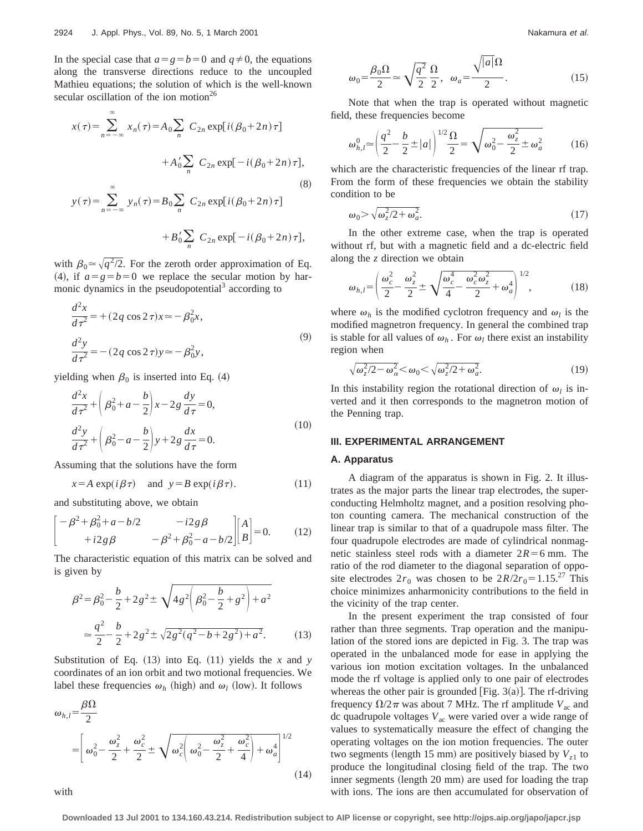In the special case that  $a = g = b = 0$  and  $q \neq 0$ , the equations along the transverse directions reduce to the uncoupled Mathieu equations; the solution of which is the well-known secular oscillation of the ion motion<sup>26</sup>

$$
x(\tau) = \sum_{n=-\infty}^{\infty} x_n(\tau) = A_0 \sum_n C_{2n} \exp[i(\beta_0 + 2n)\tau]
$$
  
+  $A'_0 \sum_n C_{2n} \exp[-i(\beta_0 + 2n)\tau],$   

$$
y(\tau) = \sum_{n=-\infty}^{\infty} y_n(\tau) = B_0 \sum_n C_{2n} \exp[i(\beta_0 + 2n)\tau]
$$
  
+  $B'_0 \sum_n C_{2n} \exp[-i(\beta_0 + 2n)\tau],$ 

with  $\beta_0 \simeq \sqrt{q^2/2}$ . For the zeroth order approximation of Eq. (4), if  $a = g = b = 0$  we replace the secular motion by harmonic dynamics in the pseudopotential<sup>3</sup> according to

$$
\frac{d^2x}{d\tau^2} = +(2q\cos 2\tau)x \approx -\beta_0^2 x,
$$
  

$$
\frac{d^2y}{d\tau^2} = -(2q\cos 2\tau)y \approx -\beta_0^2 y,
$$
 (9)

yielding when  $\beta_0$  is inserted into Eq. (4)

$$
\frac{d^2x}{d\tau^2} + \left(\beta_0^2 + a - \frac{b}{2}\right)x - 2g\frac{dy}{d\tau} = 0,\n\frac{d^2y}{d\tau^2} + \left(\beta_0^2 - a - \frac{b}{2}\right)y + 2g\frac{dx}{d\tau} = 0.
$$
\n(10)

Assuming that the solutions have the form

$$
x = A \exp(i\beta\tau) \quad \text{and} \quad y = B \exp(i\beta\tau). \tag{11}
$$

and substituting above, we obtain

with

$$
\begin{bmatrix} -\beta^2 + \beta_0^2 + a - b/2 & -i2g\beta \\ +i2g\beta & -\beta^2 + \beta_0^2 - a - b/2 \end{bmatrix} \begin{bmatrix} A \\ B \end{bmatrix} = 0.
$$
 (12)

The characteristic equation of this matrix can be solved and is given by

$$
\beta^2 = \beta_0^2 - \frac{b}{2} + 2g^2 \pm \sqrt{4g^2 \left(\beta_0^2 - \frac{b}{2} + g^2\right) + a^2}
$$
  

$$
\approx \frac{q^2}{2} - \frac{b}{2} + 2g^2 \pm \sqrt{2g^2(q^2 - b + 2g^2) + a^2}.
$$
 (13)

Substitution of Eq.  $(13)$  into Eq.  $(11)$  yields the *x* and *y* coordinates of an ion orbit and two motional frequencies. We label these frequencies  $\omega_h$  (high) and  $\omega_l$  (low). It follows

$$
\omega_{h,l} = \frac{\beta \Omega}{2}
$$
\n
$$
= \left[ \omega_0^2 - \frac{\omega_z^2}{2} + \frac{\omega_c^2}{2} \pm \sqrt{\omega_c^2 \left( \omega_0^2 - \frac{\omega_z^2}{2} + \frac{\omega_c^2}{4} \right) + \omega_a^4} \right]^{1/2}
$$
\n(14)

$$
\omega_0 = \frac{\beta_0 \Omega}{2} \approx \sqrt{\frac{q^2}{2}} \frac{\Omega}{2}, \quad \omega_a = \frac{\sqrt{|a|} \Omega}{2}.
$$
 (15)

Note that when the trap is operated without magnetic field, these frequencies become

$$
\omega_{h,l}^{0} \approx \left(\frac{q^{2}}{2} - \frac{b}{2} \pm |a|\right)^{1/2} \frac{\Omega}{2} = \sqrt{\omega_{0}^{2} - \frac{\omega_{z}^{2}}{2} \pm \omega_{a}^{2}}
$$
 (16)

which are the characteristic frequencies of the linear rf trap. From the form of these frequencies we obtain the stability condition to be

$$
\omega_0 > \sqrt{\omega_z^2/2 + \omega_a^2}.\tag{17}
$$

In the other extreme case, when the trap is operated without rf, but with a magnetic field and a dc-electric field along the *z* direction we obtain

$$
\omega_{h,l} = \left(\frac{\omega_c^2}{2} - \frac{\omega_z^2}{2} \pm \sqrt{\frac{\omega_c^4}{4} - \frac{\omega_c^2 \omega_z^2}{2} + \omega_a^4}\right)^{1/2},\tag{18}
$$

where  $\omega_h$  is the modified cyclotron frequency and  $\omega_l$  is the modified magnetron frequency. In general the combined trap is stable for all values of  $\omega_h$ . For  $\omega_l$  there exist an instability region when

$$
\sqrt{\omega_z^2/2 - \omega_\alpha^2} < \omega_0 < \sqrt{\omega_z^2/2 + \omega_a^2}.
$$
 (19)

In this instability region the rotational direction of  $\omega_l$  is inverted and it then corresponds to the magnetron motion of the Penning trap.

#### **III. EXPERIMENTAL ARRANGEMENT**

#### **A. Apparatus**

A diagram of the apparatus is shown in Fig. 2. It illustrates as the major parts the linear trap electrodes, the superconducting Helmholtz magnet, and a position resolving photon counting camera. The mechanical construction of the linear trap is similar to that of a quadrupole mass filter. The four quadrupole electrodes are made of cylindrical nonmagnetic stainless steel rods with a diameter  $2R = 6$  mm. The ratio of the rod diameter to the diagonal separation of opposite electrodes  $2r_0$  was chosen to be  $2R/2r_0 = 1.15^{27}$  This choice minimizes anharmonicity contributions to the field in the vicinity of the trap center.

In the present experiment the trap consisted of four rather than three segments. Trap operation and the manipulation of the stored ions are depicted in Fig. 3. The trap was operated in the unbalanced mode for ease in applying the various ion motion excitation voltages. In the unbalanced mode the rf voltage is applied only to one pair of electrodes whereas the other pair is grounded [Fig. 3(a)]. The rf-driving frequency  $\Omega/2\pi$  was about 7 MHz. The rf amplitude  $V_{ac}$  and dc quadrupole voltages  $V_{ac}$  were varied over a wide range of values to systematically measure the effect of changing the operating voltages on the ion motion frequencies. The outer two segments (length 15 mm) are positively biased by  $V_{z1}$  to produce the longitudinal closing field of the trap. The two inner segments (length 20 mm) are used for loading the trap with ions. The ions are then accumulated for observation of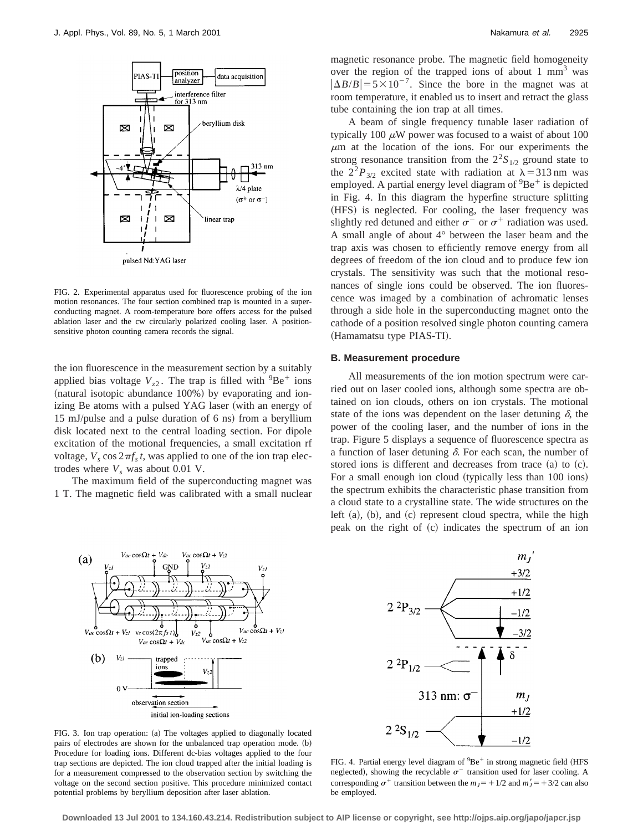

FIG. 2. Experimental apparatus used for fluorescence probing of the ion motion resonances. The four section combined trap is mounted in a superconducting magnet. A room-temperature bore offers access for the pulsed ablation laser and the cw circularly polarized cooling laser. A positionsensitive photon counting camera records the signal.

the ion fluorescence in the measurement section by a suitably applied bias voltage  $V_{z2}$ . The trap is filled with  ${}^{9}Be^+$  ions  $(natural isotopic abundance 100%)$  by evaporating and ionizing Be atoms with a pulsed YAG laser (with an energy of 15 mJ/pulse and a pulse duration of  $6 \text{ ns}$ ) from a beryllium disk located next to the central loading section. For dipole excitation of the motional frequencies, a small excitation rf voltage,  $V_s \cos 2\pi f_s t$ , was applied to one of the ion trap electrodes where  $V_s$  was about 0.01 V.

The maximum field of the superconducting magnet was 1 T. The magnetic field was calibrated with a small nuclear magnetic resonance probe. The magnetic field homogeneity over the region of the trapped ions of about  $1 \text{ mm}^3$  was  $|\Delta B/B| = 5 \times 10^{-7}$ . Since the bore in the magnet was at room temperature, it enabled us to insert and retract the glass tube containing the ion trap at all times.

A beam of single frequency tunable laser radiation of typically 100  $\mu$ W power was focused to a waist of about 100  $\mu$ m at the location of the ions. For our experiments the strong resonance transition from the  $2^2S_{1/2}$  ground state to the  $2^2P_{3/2}$  excited state with radiation at  $\lambda = 313$  nm was employed. A partial energy level diagram of  ${}^{9}Be^+$  is depicted in Fig. 4. In this diagram the hyperfine structure splitting (HFS) is neglected. For cooling, the laser frequency was slightly red detuned and either  $\sigma^-$  or  $\sigma^+$  radiation was used. A small angle of about 4° between the laser beam and the trap axis was chosen to efficiently remove energy from all degrees of freedom of the ion cloud and to produce few ion crystals. The sensitivity was such that the motional resonances of single ions could be observed. The ion fluorescence was imaged by a combination of achromatic lenses through a side hole in the superconducting magnet onto the cathode of a position resolved single photon counting camera (Hamamatsu type PIAS-TI).

#### **B. Measurement procedure**

All measurements of the ion motion spectrum were carried out on laser cooled ions, although some spectra are obtained on ion clouds, others on ion crystals. The motional state of the ions was dependent on the laser detuning  $\delta$ , the power of the cooling laser, and the number of ions in the trap. Figure 5 displays a sequence of fluorescence spectra as a function of laser detuning  $\delta$ . For each scan, the number of stored ions is different and decreases from trace  $(a)$  to  $(c)$ . For a small enough ion cloud (typically less than 100 ions) the spectrum exhibits the characteristic phase transition from a cloud state to a crystalline state. The wide structures on the left  $(a)$ ,  $(b)$ , and  $(c)$  represent cloud spectra, while the high peak on the right of (c) indicates the spectrum of an ion



FIG. 3. Ion trap operation: (a) The voltages applied to diagonally located pairs of electrodes are shown for the unbalanced trap operation mode. (b) Procedure for loading ions. Different dc-bias voltages applied to the four trap sections are depicted. The ion cloud trapped after the initial loading is for a measurement compressed to the observation section by switching the voltage on the second section positive. This procedure minimized contact potential problems by beryllium deposition after laser ablation.



FIG. 4. Partial energy level diagram of  $^{9}Be^{+}$  in strong magnetic field (HFS neglected), showing the recyclable  $\sigma^-$  transition used for laser cooling. A corresponding  $\sigma^+$  transition between the  $m_J = +1/2$  and  $m_J' = +3/2$  can also be employed.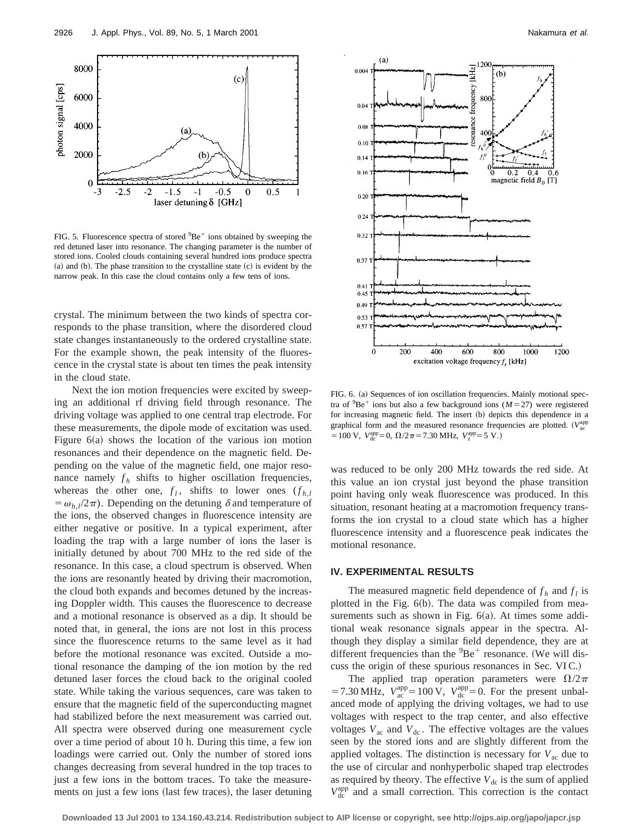

FIG. 5. Fluorescence spectra of stored  ${}^{9}Be^+$  ions obtained by sweeping the red detuned laser into resonance. The changing parameter is the number of stored ions. Cooled clouds containing several hundred ions produce spectra  $(a)$  and  $(b)$ . The phase transition to the crystalline state  $(c)$  is evident by the narrow peak. In this case the cloud contains only a few tens of ions.

crystal. The minimum between the two kinds of spectra corresponds to the phase transition, where the disordered cloud state changes instantaneously to the ordered crystalline state. For the example shown, the peak intensity of the fluorescence in the crystal state is about ten times the peak intensity in the cloud state.

Next the ion motion frequencies were excited by sweeping an additional rf driving field through resonance. The driving voltage was applied to one central trap electrode. For these measurements, the dipole mode of excitation was used. Figure  $6(a)$  shows the location of the various ion motion resonances and their dependence on the magnetic field. Depending on the value of the magnetic field, one major resonance namely  $f_h$  shifts to higher oscillation frequencies, whereas the other one,  $f_l$ , shifts to lower ones  $(f_{h,l})$  $=\omega_{h,l}/2\pi$ ). Depending on the detuning  $\delta$  and temperature of the ions, the observed changes in fluorescence intensity are either negative or positive. In a typical experiment, after loading the trap with a large number of ions the laser is initially detuned by about 700 MHz to the red side of the resonance. In this case, a cloud spectrum is observed. When the ions are resonantly heated by driving their macromotion, the cloud both expands and becomes detuned by the increasing Doppler width. This causes the fluorescence to decrease and a motional resonance is observed as a dip. It should be noted that, in general, the ions are not lost in this process since the fluorescence returns to the same level as it had before the motional resonance was excited. Outside a motional resonance the damping of the ion motion by the red detuned laser forces the cloud back to the original cooled state. While taking the various sequences, care was taken to ensure that the magnetic field of the superconducting magnet had stabilized before the next measurement was carried out. All spectra were observed during one measurement cycle over a time period of about 10 h. During this time, a few ion loadings were carried out. Only the number of stored ions changes decreasing from several hundred in the top traces to just a few ions in the bottom traces. To take the measurements on just a few ions (last few traces), the laser detuning



FIG. 6. (a) Sequences of ion oscillation frequencies. Mainly motional spectra of  ${}^{9}Be^+$  ions but also a few background ions ( $M=27$ ) were registered for increasing magnetic field. The insert (b) depicts this dependence in a graphical form and the measured resonance frequencies are plotted.  $(V_{ac}^{app})$ = 100 V,  $V_{dc}^{app}$ = 0,  $\Omega/2\pi$  = 7.30 MHz,  $V_{z}^{app}$ = 5 V.)

was reduced to be only 200 MHz towards the red side. At this value an ion crystal just beyond the phase transition point having only weak fluorescence was produced. In this situation, resonant heating at a macromotion frequency transforms the ion crystal to a cloud state which has a higher fluorescence intensity and a fluorescence peak indicates the motional resonance.

## **IV. EXPERIMENTAL RESULTS**

The measured magnetic field dependence of  $f_h$  and  $f_l$  is plotted in the Fig.  $6(b)$ . The data was compiled from measurements such as shown in Fig.  $6(a)$ . At times some additional weak resonance signals appear in the spectra. Although they display a similar field dependence, they are at different frequencies than the  ${}^{9}Be^+$  resonance. (We will discuss the origin of these spurious resonances in Sec. VIC.)

The applied trap operation parameters were  $\Omega/2\pi$ = 7.30 MHz,  $V_{\text{ac}}^{\text{app}}$  = 100 V,  $V_{\text{dc}}^{\text{app}}$  = 0. For the present unbalanced mode of applying the driving voltages, we had to use voltages with respect to the trap center, and also effective voltages  $V_{ac}$  and  $V_{dc}$ . The effective voltages are the values seen by the stored ions and are slightly different from the applied voltages. The distinction is necessary for  $V<sub>ac</sub>$  due to the use of circular and nonhyperbolic shaped trap electrodes as required by theory. The effective  $V_{dc}$  is the sum of applied  $V_{\text{dc}}^{\text{app}}$  and a small correction. This correction is the contact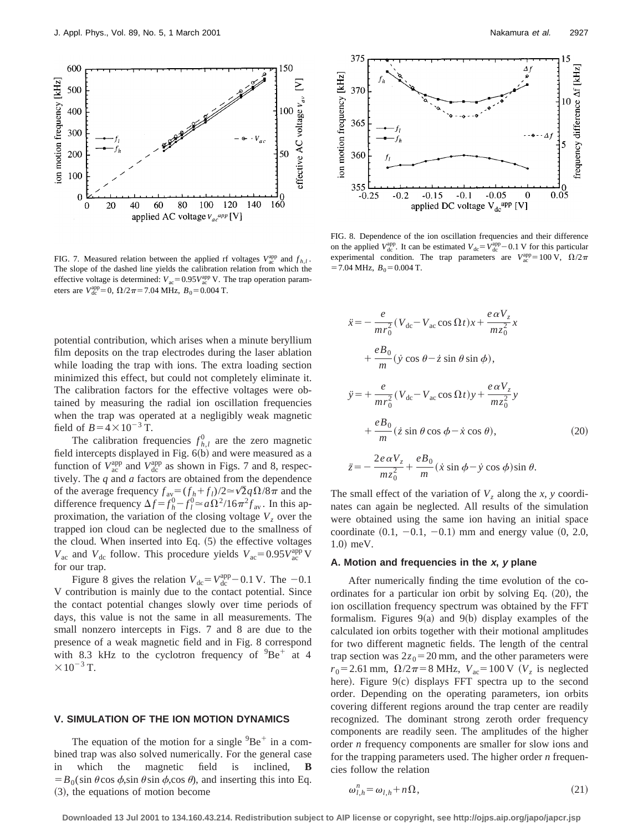

FIG. 7. Measured relation between the applied rf voltages  $V_{ac}^{app}$  and  $f_{h,l}$ . The slope of the dashed line yields the calibration relation from which the effective voltage is determined:  $V_{ac} = 0.95V_{ac}^{app}$  V. The trap operation parameters are  $V_{\text{dc}}^{\text{app}}=0$ ,  $\Omega/2\pi=7.04$  MHz,  $B_0=0.004$  T.

potential contribution, which arises when a minute beryllium film deposits on the trap electrodes during the laser ablation while loading the trap with ions. The extra loading section minimized this effect, but could not completely eliminate it. The calibration factors for the effective voltages were obtained by measuring the radial ion oscillation frequencies when the trap was operated at a negligibly weak magnetic field of  $B=4\times10^{-3}$  T.

The calibration frequencies  $f_{h,l}^0$  are the zero magnetic field intercepts displayed in Fig.  $6(b)$  and were measured as a function of  $V_{\text{ac}}^{\text{app}}$  and  $V_{\text{dc}}^{\text{app}}$  as shown in Figs. 7 and 8, respectively. The *q* and *a* factors are obtained from the dependence of the average frequency  $f_{av} = (f_h + f_l)/2 \approx \sqrt{2}q\Omega/8\pi$  and the difference frequency  $\Delta f = f_h^0 - f_l^0 \approx a\Omega^2/16\pi^2 f_{av}$ . In this approximation, the variation of the closing voltage  $V<sub>z</sub>$  over the trapped ion cloud can be neglected due to the smallness of the cloud. When inserted into Eq.  $(5)$  the effective voltages  $V_{\text{ac}}$  and  $V_{\text{dc}}$  follow. This procedure yields  $V_{\text{ac}} = 0.95 V_{\text{ac}}^{\text{app}}$  V for our trap.

Figure 8 gives the relation  $V_{dc} = V_{dc}^{app} - 0.1$  V. The  $-0.1$ V contribution is mainly due to the contact potential. Since the contact potential changes slowly over time periods of days, this value is not the same in all measurements. The small nonzero intercepts in Figs. 7 and 8 are due to the presence of a weak magnetic field and in Fig. 8 correspond with 8.3 kHz to the cyclotron frequency of  ${}^{9}Be^+$  at 4  $\times 10^{-3}$  T.

#### **V. SIMULATION OF THE ION MOTION DYNAMICS**

The equation of the motion for a single  ${}^{9}Be^+$  in a combined trap was also solved numerically. For the general case in which the magnetic field is inclined, **B**  $= B_0(\sin \theta \cos \phi, \sin \theta \sin \phi, \cos \theta)$ , and inserting this into Eq.  $(3)$ , the equations of motion become



FIG. 8. Dependence of the ion oscillation frequencies and their difference on the applied  $V_{\text{dc}}^{\text{app}}$ . It can be estimated  $V_{\text{dc}} = V_{\text{dc}}^{\text{app}} - 0.1$  V for this particular experimental condition. The trap parameters are  $V_{\text{ac}}^{\text{app}} = 100 \text{ V}, \Omega/2\pi$  $=7.04$  MHz,  $B_0=0.004$  T.

$$
\ddot{x} = -\frac{e}{mr_0^2} (V_{dc} - V_{ac} \cos \Omega t) x + \frac{e \alpha V_z}{m z_0^2} x
$$
  
+  $\frac{e B_0}{m} (y \cos \theta - \dot{z} \sin \theta \sin \phi),$   

$$
\ddot{y} = +\frac{e}{mr_0^2} (V_{dc} - V_{ac} \cos \Omega t) y + \frac{e \alpha V_z}{m z_0^2} y
$$
  
+  $\frac{e B_0}{m} (\dot{z} \sin \theta \cos \phi - \dot{x} \cos \theta),$  (20)  

$$
\ddot{z} = -\frac{2 e \alpha V_z}{m z_0^2} + \frac{e B_0}{m} (\dot{x} \sin \phi - \dot{y} \cos \phi) \sin \theta.
$$

The small effect of the variation of  $V<sub>z</sub>$  along the *x*, *y* coordinates can again be neglected. All results of the simulation were obtained using the same ion having an initial space coordinate  $(0.1, -0.1, -0.1)$  mm and energy value  $(0, 2.0,$  $1.0$  meV.

#### **A. Motion and frequencies in the <sup>x</sup>, y plane**

After numerically finding the time evolution of the coordinates for a particular ion orbit by solving Eq.  $(20)$ , the ion oscillation frequency spectrum was obtained by the FFT formalism. Figures  $9(a)$  and  $9(b)$  display examples of the calculated ion orbits together with their motional amplitudes for two different magnetic fields. The length of the central trap section was  $2z_0 = 20$  mm, and the other parameters were  $r_0$ = 2.61 mm,  $\Omega$ /2 $\pi$ = 8 MHz,  $V_{ac}$ = 100 V ( $V_z$  is neglected here). Figure  $9(c)$  displays FFT spectra up to the second order. Depending on the operating parameters, ion orbits covering different regions around the trap center are readily recognized. The dominant strong zeroth order frequency components are readily seen. The amplitudes of the higher order *n* frequency components are smaller for slow ions and for the trapping parameters used. The higher order *n* frequencies follow the relation

$$
\omega_{l,h}^n = \omega_{l,h} + n\Omega,\tag{21}
$$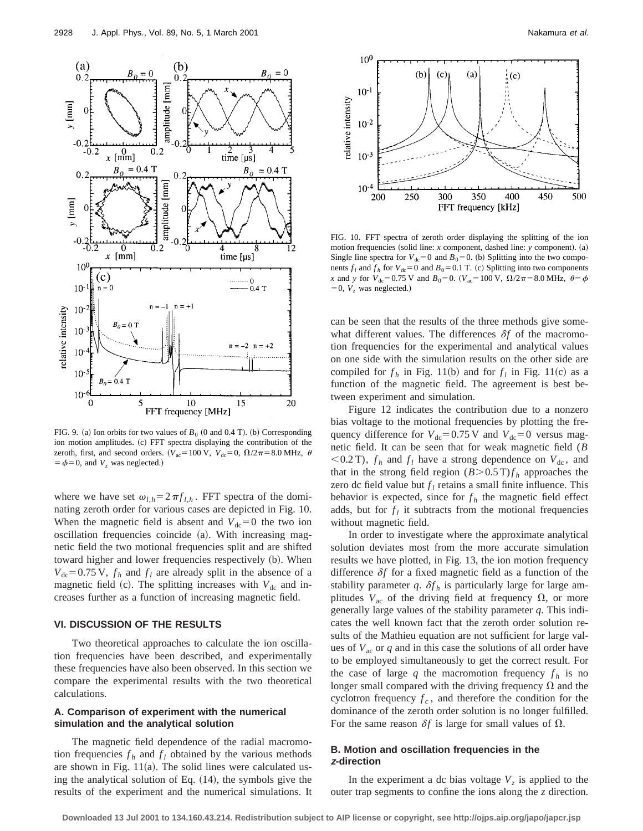

FIG. 9. (a) Ion orbits for two values of  $B_0$  (0 and 0.4 T). (b) Corresponding ion motion amplitudes. (c) FFT spectra displaying the contribution of the zeroth, first, and second orders.  $(V_{ac}=100 \text{ V}, V_{dc}=0, \Omega/2\pi=8.0 \text{ MHz}, \theta$  $= \phi = 0$ , and  $V_z$  was neglected.)

where we have set  $\omega_{l,h} = 2 \pi f_{l,h}$ . FFT spectra of the dominating zeroth order for various cases are depicted in Fig. 10. When the magnetic field is absent and  $V_{dc}$ =0 the two ion oscillation frequencies coincide (a). With increasing magnetic field the two motional frequencies split and are shifted toward higher and lower frequencies respectively (b). When  $V_{dc}$ =0.75 V,  $f_h$  and  $f_l$  are already split in the absence of a magnetic field (c). The splitting increases with  $V_{dc}$  and increases further as a function of increasing magnetic field.

## **VI. DISCUSSION OF THE RESULTS**

Two theoretical approaches to calculate the ion oscillation frequencies have been described, and experimentally these frequencies have also been observed. In this section we compare the experimental results with the two theoretical calculations.

## **A. Comparison of experiment with the numerical simulation and the analytical solution**

The magnetic field dependence of the radial macromotion frequencies  $f_h$  and  $f_l$  obtained by the various methods are shown in Fig.  $11(a)$ . The solid lines were calculated using the analytical solution of Eq.  $(14)$ , the symbols give the results of the experiment and the numerical simulations. It



FIG. 10. FFT spectra of zeroth order displaying the splitting of the ion motion frequencies (solid line: *x* component, dashed line: *y* component). (a) Single line spectra for  $V_{dc}$ =0 and  $B_0$ =0. (b) Splitting into the two components  $f_l$  and  $f_h$  for  $V_{dc} = 0$  and  $B_0 = 0.1$  T. (c) Splitting into two components *x* and *y* for  $V_{dc}$ =0.75 V and  $B_0$ =0.  $(V_{ac}$ =100 V,  $\Omega/2\pi$ =8.0 MHz,  $\theta = \phi$  $=0, V<sub>z</sub>$  was neglected.)

can be seen that the results of the three methods give somewhat different values. The differences  $\delta f$  of the macromotion frequencies for the experimental and analytical values on one side with the simulation results on the other side are compiled for  $f_h$  in Fig. 11(b) and for  $f_l$  in Fig. 11(c) as a function of the magnetic field. The agreement is best between experiment and simulation.

Figure 12 indicates the contribution due to a nonzero bias voltage to the motional frequencies by plotting the frequency difference for  $V_{dc}$ =0.75 V and  $V_{dc}$ =0 versus magnetic field. It can be seen that for weak magnetic field (*B*  $< 0.2$  T),  $f_h$  and  $f_l$  have a strong dependence on  $V_{dc}$ , and that in the strong field region  $(B>0.5 \text{ T})$ *f*<sub>*h*</sub> approaches the zero dc field value but  $f_l$  retains a small finite influence. This behavior is expected, since for  $f_h$  the magnetic field effect adds, but for  $f_l$  it subtracts from the motional frequencies without magnetic field.

In order to investigate where the approximate analytical solution deviates most from the more accurate simulation results we have plotted, in Fig. 13, the ion motion frequency difference  $\delta f$  for a fixed magnetic field as a function of the stability parameter *q*.  $\delta f_h$  is particularly large for large amplitudes  $V_{ac}$  of the driving field at frequency  $\Omega$ , or more generally large values of the stability parameter *q*. This indicates the well known fact that the zeroth order solution results of the Mathieu equation are not sufficient for large values of  $V_{ac}$  or  $q$  and in this case the solutions of all order have to be employed simultaneously to get the correct result. For the case of large  $q$  the macromotion frequency  $f_h$  is no longer small compared with the driving frequency  $\Omega$  and the cyclotron frequency  $f_c$ , and therefore the condition for the dominance of the zeroth order solution is no longer fulfilled. For the same reason  $\delta f$  is large for small values of  $\Omega$ .

# **B. Motion and oscillation frequencies in the <sup>z</sup>-direction**

In the experiment a dc bias voltage  $V<sub>z</sub>$  is applied to the outer trap segments to confine the ions along the *z* direction.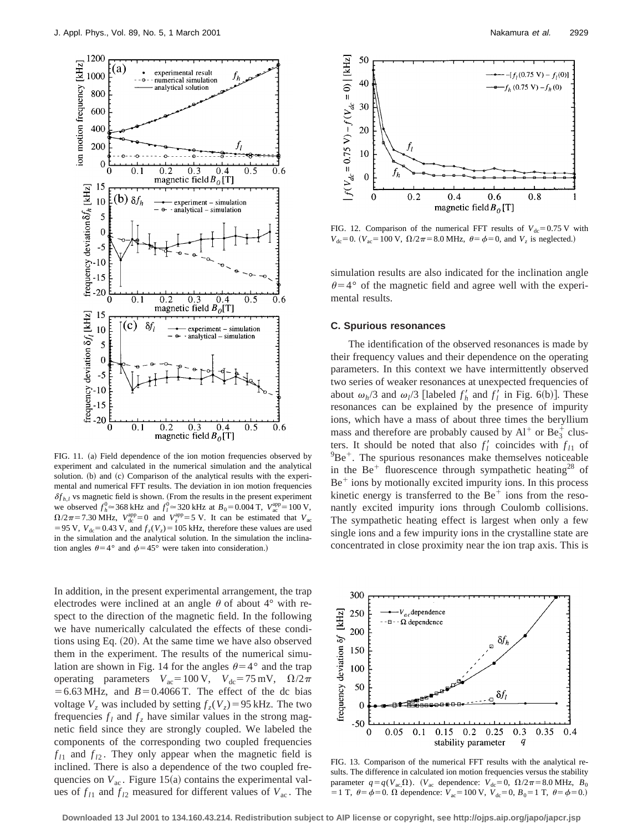

FIG. 11. (a) Field dependence of the ion motion frequencies observed by experiment and calculated in the numerical simulation and the analytical solution. (b) and (c) Comparison of the analytical results with the experimental and numerical FFT results. The deviation in ion motion frequencies  $\delta f_{h,l}$  vs magnetic field is shown. (From the results in the present experiment we observed  $f_h^0 \approx 368 \text{ kHz}$  and  $f_l^0 \approx 320 \text{ kHz}$  at  $B_0 = 0.004 \text{ T}$ ,  $V_{ac}^{app} = 100 \text{ V}$ ,  $\Omega/2\pi$  = 7.30 MHz,  $V_{dc}^{app}$  = 0 and  $V_{z}^{app}$  = 5 V. It can be estimated that  $V_{ac}$ = 95 V,  $V_{\text{dc}}$ = 0.43 V, and  $f_z(V_z)$ = 105 kHz, therefore these values are used in the simulation and the analytical solution. In the simulation the inclination angles  $\theta = 4^{\circ}$  and  $\phi = 45^{\circ}$  were taken into consideration.)

In addition, in the present experimental arrangement, the trap electrodes were inclined at an angle  $\theta$  of about 4° with respect to the direction of the magnetic field. In the following we have numerically calculated the effects of these conditions using Eq.  $(20)$ . At the same time we have also observed them in the experiment. The results of the numerical simulation are shown in Fig. 14 for the angles  $\theta$ =4° and the trap operating parameters  $V_{ac} = 100 \text{ V}$ ,  $V_{dc} = 75 \text{ mV}$ ,  $\Omega/2\pi$  $=6.63 \text{ MHz}$ , and  $B=0.4066 \text{ T}$ . The effect of the dc bias voltage  $V_z$  was included by setting  $f_z(V_z) = 95$  kHz. The two frequencies  $f_l$  and  $f_z$  have similar values in the strong magnetic field since they are strongly coupled. We labeled the components of the corresponding two coupled frequencies  $f_{l1}$  and  $f_{l2}$ . They only appear when the magnetic field is inclined. There is also a dependence of the two coupled frequencies on  $V_{ac}$ . Figure 15 $(a)$  contains the experimental values of  $f_{l1}$  and  $f_{l2}$  measured for different values of  $V_{ac}$ . The



FIG. 12. Comparison of the numerical FFT results of  $V_{dc}$ =0.75 V with  $V_{\text{dc}}=0.$  ( $V_{\text{ac}}=100 \text{ V}$ ,  $\Omega/2\pi=8.0 \text{ MHz}$ ,  $\theta = \phi = 0$ , and  $V_{\text{z}}$  is neglected.)

simulation results are also indicated for the inclination angle  $\theta$ =4° of the magnetic field and agree well with the experimental results.

## **C. Spurious resonances**

The identification of the observed resonances is made by their frequency values and their dependence on the operating parameters. In this context we have intermittently observed two series of weaker resonances at unexpected frequencies of about  $\omega_h/3$  and  $\omega_l/3$  [labeled  $f'_h$  and  $f'_l$  in Fig. 6(b)]. These resonances can be explained by the presence of impurity ions, which have a mass of about three times the beryllium mass and therefore are probably caused by  $Al^+$  or  $Be_3^+$  clusters. It should be noted that also  $f'_{l}$  coincides with  $f_{l1}$  of  $9Be<sup>+</sup>$ . The spurious resonances make themselves noticeable in the  $Be^+$  fluorescence through sympathetic heating<sup>28</sup> of  $Be<sup>+</sup>$  ions by motionally excited impurity ions. In this process kinetic energy is transferred to the  $Be<sup>+</sup>$  ions from the resonantly excited impurity ions through Coulomb collisions. The sympathetic heating effect is largest when only a few single ions and a few impurity ions in the crystalline state are concentrated in close proximity near the ion trap axis. This is



FIG. 13. Comparison of the numerical FFT results with the analytical results. The difference in calculated ion motion frequencies versus the stability parameter  $q = q(V_{ac}, \Omega)$ .  $(V_{ac}$  dependence:  $V_{dc} = 0$ ,  $\Omega/2\pi = 8.0$  MHz,  $B_0$  $=$  1 T,  $\theta = \phi = 0$ .  $\Omega$  dependence:  $V_{ac} = 100$  V,  $V_{dc} = 0$ ,  $B_0 = 1$  T,  $\theta = \phi = 0$ .)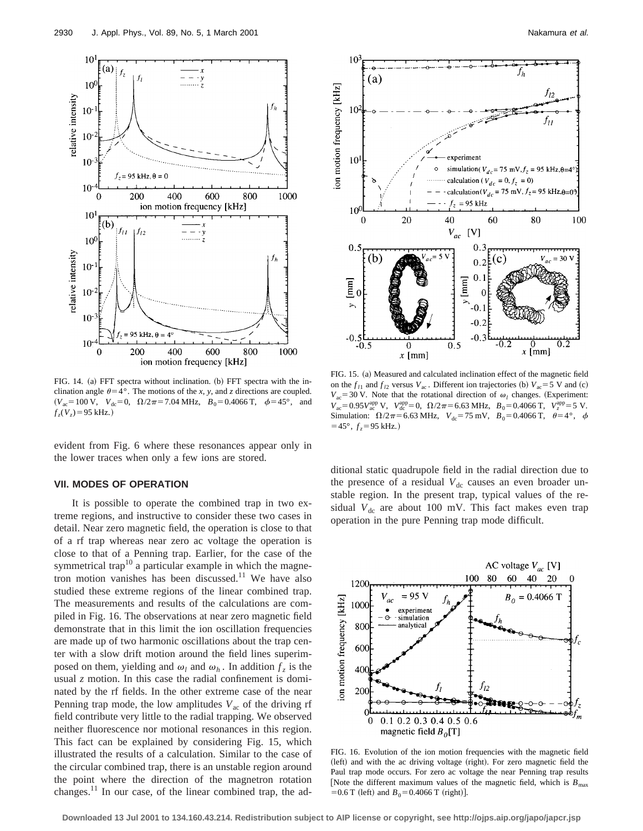

FIG. 14. (a) FFT spectra without inclination. (b) FFT spectra with the inclination angle  $\theta$ =4°. The motions of the *x*, *y*, and *z* directions are coupled.  $(V_{ac}=100 \text{ V}, V_{dc}=0, \Omega/2\pi=7.04 \text{ MHz}, B_0=0.4066 \text{ T}, \phi=45^{\circ}, \text{ and}$  $f_z(V_z) = 95$  kHz.)

evident from Fig. 6 where these resonances appear only in the lower traces when only a few ions are stored.

# **VII. MODES OF OPERATION**

It is possible to operate the combined trap in two extreme regions, and instructive to consider these two cases in detail. Near zero magnetic field, the operation is close to that of a rf trap whereas near zero ac voltage the operation is close to that of a Penning trap. Earlier, for the case of the symmetrical trap<sup>10</sup> a particular example in which the magnetron motion vanishes has been discussed.<sup>11</sup> We have also studied these extreme regions of the linear combined trap. The measurements and results of the calculations are compiled in Fig. 16. The observations at near zero magnetic field demonstrate that in this limit the ion oscillation frequencies are made up of two harmonic oscillations about the trap center with a slow drift motion around the field lines superimposed on them, yielding and  $\omega_l$  and  $\omega_h$ . In addition  $f_z$  is the usual *z* motion. In this case the radial confinement is dominated by the rf fields. In the other extreme case of the near Penning trap mode, the low amplitudes  $V_{ac}$  of the driving rf field contribute very little to the radial trapping. We observed neither fluorescence nor motional resonances in this region. This fact can be explained by considering Fig. 15, which illustrated the results of a calculation. Similar to the case of the circular combined trap, there is an unstable region around the point where the direction of the magnetron rotation changes. $^{11}$  In our case, of the linear combined trap, the ad-



FIG. 15. (a) Measured and calculated inclination effect of the magnetic field on the  $f_{l1}$  and  $f_{l2}$  versus  $V_{ac}$ . Different ion trajectories (b)  $V_{ac} = 5$  V and (c)  $V_{ac}$ =30 V. Note that the rotational direction of  $\omega_l$  changes. (Experiment:  $V_{ac} = 0.95 V_{ac}^{app}$  V,  $V_{dc}^{app} = 0$ ,  $\Omega/2\pi = 6.63$  MHz,  $B_0 = 0.4066$  T,  $V_z^{app} = 5$  V. Simulation:  $\Omega/2\pi$ =6.63 MHz,  $V_{dc}$ =75 mV,  $B_0$ =0.4066 T,  $\theta$ =4°,  $\phi$  $=45^{\circ}$ ,  $f<sub>z</sub>=95$  kHz.)

ditional static quadrupole field in the radial direction due to the presence of a residual  $V_{dc}$  causes an even broader unstable region. In the present trap, typical values of the residual  $V_{dc}$  are about 100 mV. This fact makes even trap operation in the pure Penning trap mode difficult.



FIG. 16. Evolution of the ion motion frequencies with the magnetic field (left) and with the ac driving voltage (right). For zero magnetic field the Paul trap mode occurs. For zero ac voltage the near Penning trap results [Note the different maximum values of the magnetic field, which is  $B_{\text{max}}$  $=0.6$  T (left) and  $B_0 = 0.4066$  T (right)].